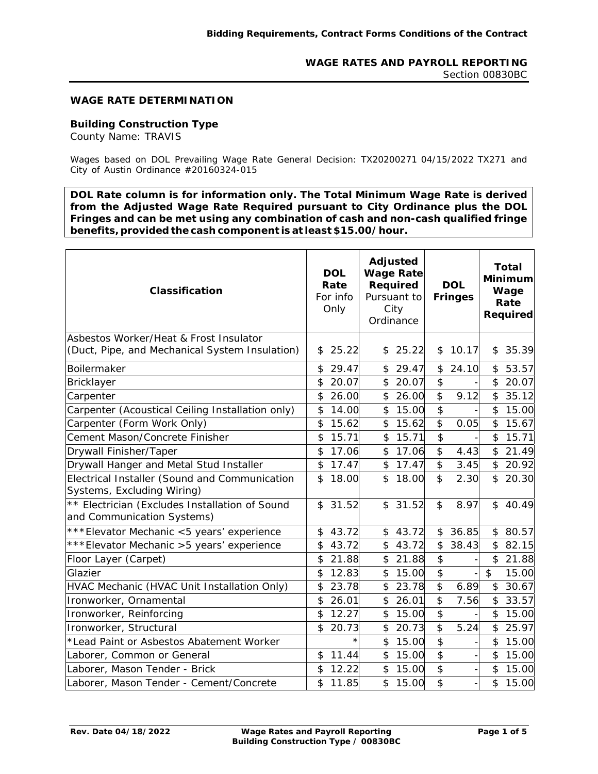#### **WAGE RATE DETERMINATION**

## **Building Construction Type**

County Name: TRAVIS

Wages based on DOL Prevailing Wage Rate General Decision: TX20200271 04/15/2022 TX271 and City of Austin Ordinance #20160324-015

**DOL Rate column is for information only. The Total Minimum Wage Rate is derived from the Adjusted Wage Rate Required pursuant to City Ordinance plus the DOL Fringes and can be met using any combination of cash and non-cash qualified fringe benefits, provided the cash component is at least \$15.00/hour.** 

| Classification                                                               | <b>DOL</b><br>Rate<br>For info<br>Only |         | <b>Adjusted</b><br><b>Wage Rate</b><br>Required<br>Pursuant to<br>City<br>Ordinance |         | <b>DOL</b><br><b>Fringes</b> |       | <b>Total</b><br>Minimum<br>Wage<br>Rate<br><b>Required</b> |       |
|------------------------------------------------------------------------------|----------------------------------------|---------|-------------------------------------------------------------------------------------|---------|------------------------------|-------|------------------------------------------------------------|-------|
| Asbestos Worker/Heat & Frost Insulator                                       |                                        |         |                                                                                     |         |                              |       |                                                            |       |
| (Duct, Pipe, and Mechanical System Insulation)                               | \$                                     | 25.22   | \$                                                                                  | 25.22   | \$                           | 10.17 | \$                                                         | 35.39 |
| Boilermaker                                                                  | \$                                     | 29.47   | \$                                                                                  | 29.47   | \$                           | 24.10 | \$                                                         | 53.57 |
| Bricklayer                                                                   | \$                                     | 20.07   | \$                                                                                  | 20.07   | \$                           |       | \$                                                         | 20.07 |
| Carpenter                                                                    | \$                                     | 26.00   | \$                                                                                  | 26.00   | \$                           | 9.12  | $\boldsymbol{\mathsf{S}}$                                  | 35.12 |
| Carpenter (Acoustical Ceiling Installation only)                             | \$                                     | 14.00   | $\frac{1}{2}$                                                                       | 15.00   | \$                           |       | \$                                                         | 15.00 |
| Carpenter (Form Work Only)                                                   | \$                                     | 15.62   | \$                                                                                  | 15.62   | \$                           | 0.05  | $\boldsymbol{\mathsf{\$}}$                                 | 15.67 |
| Cement Mason/Concrete Finisher                                               | \$                                     | 15.71   | \$                                                                                  | 15.71   | \$                           |       | \$                                                         | 15.71 |
| Drywall Finisher/Taper                                                       | \$                                     | 17.06   | \$                                                                                  | 17.06   | \$                           | 4.43  | \$                                                         | 21.49 |
| Drywall Hanger and Metal Stud Installer                                      | \$                                     | 17.47   | \$                                                                                  | 17.47   | \$                           | 3.45  | \$                                                         | 20.92 |
| Electrical Installer (Sound and Communication<br>Systems, Excluding Wiring)  | \$                                     | 18.00   | \$                                                                                  | 18.00   | $\mathbf{\hat{z}}$           | 2.30  | \$                                                         | 20.30 |
| ** Electrician (Excludes Installation of Sound<br>and Communication Systems) | $\mathfrak{D}$                         | 31.52   |                                                                                     | \$31.52 | \$                           | 8.97  | $\mathfrak{L}$                                             | 40.49 |
| *** Elevator Mechanic <5 years' experience                                   | \$                                     | 43.72   | $\frac{1}{2}$                                                                       | 43.72   | \$                           | 36.85 | \$                                                         | 80.57 |
| *** Elevator Mechanic > 5 years' experience                                  | \$                                     | 43.72   | \$                                                                                  | 43.72   | \$                           | 38.43 | \$                                                         | 82.15 |
| Floor Layer (Carpet)                                                         | \$                                     | 21.88   | \$                                                                                  | 21.88   | \$                           |       | \$                                                         | 21.88 |
| Glazier                                                                      | \$                                     | 12.83   | \$                                                                                  | 15.00   | \$                           |       | \$                                                         | 15.00 |
| HVAC Mechanic (HVAC Unit Installation Only)                                  | \$                                     | 23.78   | \$                                                                                  | 23.78   | \$                           | 6.89  | \$                                                         | 30.67 |
| Ironworker, Ornamental                                                       | \$                                     | 26.01   | \$                                                                                  | 26.01   | \$                           | 7.56  | $\boldsymbol{\mathsf{\$}}$                                 | 33.57 |
| Ironworker, Reinforcing                                                      | \$                                     | 12.27   | \$                                                                                  | 15.00   | \$                           |       | \$                                                         | 15.00 |
| Ironworker, Structural                                                       | \$                                     | 20.73   | \$                                                                                  | 20.73   | \$                           | 5.24  | \$                                                         | 25.97 |
| *Lead Paint or Asbestos Abatement Worker                                     |                                        | $\star$ | \$                                                                                  | 15.00   | \$                           |       | \$                                                         | 15.00 |
| Laborer, Common or General                                                   | \$                                     | 11.44   | \$                                                                                  | 15.00   | \$                           |       | \$                                                         | 15.00 |
| Laborer, Mason Tender - Brick                                                | \$                                     | 12.22   | $\frac{1}{2}$                                                                       | 15.00   | \$                           |       | \$                                                         | 15.00 |
| Laborer, Mason Tender - Cement/Concrete                                      | \$                                     | 11.85   | \$                                                                                  | 15.00   | \$                           |       | \$                                                         | 15.00 |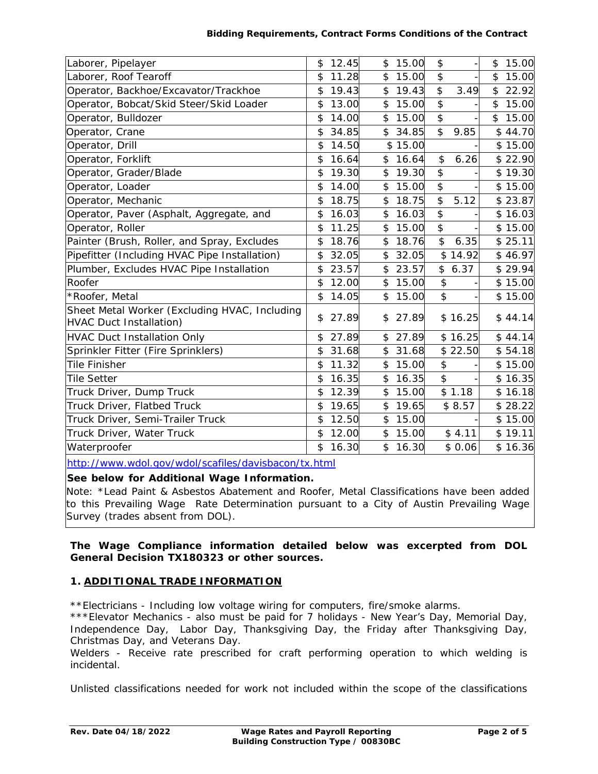#### **Bidding Requirements, Contract Forms Conditions of the Contract**

| Laborer, Pipelayer                                                              | \$                        | 12.45 | \$<br>15.00 | \$                        |         | \$<br>15.00 |
|---------------------------------------------------------------------------------|---------------------------|-------|-------------|---------------------------|---------|-------------|
| Laborer, Roof Tearoff                                                           | \$                        | 11.28 | \$<br>15.00 | $\frac{1}{2}$             |         | \$<br>15.00 |
| Operator, Backhoe/Excavator/Trackhoe                                            | \$                        | 19.43 | \$<br>19.43 | \$                        | 3.49    | \$<br>22.92 |
| Operator, Bobcat/Skid Steer/Skid Loader                                         | \$                        | 13.00 | \$<br>15.00 | $\mathfrak{S}$            |         | \$<br>15.00 |
| Operator, Bulldozer                                                             | \$                        | 14.00 | \$<br>15.00 | \$                        |         | \$<br>15.00 |
| Operator, Crane                                                                 | \$                        | 34.85 | \$<br>34.85 | $\overline{\mathcal{E}}$  | 9.85    | \$44.70     |
| Operator, Drill                                                                 | \$                        | 14.50 | \$15.00     |                           |         | \$15.00     |
| Operator, Forklift                                                              | \$                        | 16.64 | \$<br>16.64 | \$                        | 6.26    | \$22.90     |
| Operator, Grader/Blade                                                          | \$                        | 19.30 | \$<br>19.30 | $\boldsymbol{\mathsf{S}}$ |         | \$19.30     |
| Operator, Loader                                                                | \$                        | 14.00 | \$<br>15.00 | $\frac{1}{2}$             |         | \$15.00     |
| Operator, Mechanic                                                              | $\mathfrak{P}$            | 18.75 | \$<br>18.75 | $\overline{\mathcal{E}}$  | 5.12    | \$23.87     |
| Operator, Paver (Asphalt, Aggregate, and                                        | \$                        | 16.03 | \$<br>16.03 | $\frac{1}{2}$             |         | \$16.03     |
| Operator, Roller                                                                | \$                        | 11.25 | \$<br>15.00 | $\boldsymbol{\mathsf{S}}$ |         | \$15.00     |
| Painter (Brush, Roller, and Spray, Excludes                                     | \$                        | 18.76 | \$<br>18.76 | \$                        | 6.35    | \$25.11     |
| Pipefitter (Including HVAC Pipe Installation)                                   | \$                        | 32.05 | \$<br>32.05 |                           | \$14.92 | \$46.97     |
| Plumber, Excludes HVAC Pipe Installation                                        | \$                        | 23.57 | \$<br>23.57 |                           | \$6.37  | \$29.94     |
| Roofer                                                                          | \$                        | 12.00 | \$<br>15.00 | \$                        |         | \$15.00     |
| *Roofer, Metal                                                                  | $\boldsymbol{\mathsf{S}}$ | 14.05 | \$<br>15.00 | \$                        |         | \$15.00     |
| Sheet Metal Worker (Excluding HVAC, Including<br><b>HVAC Duct Installation)</b> | \$                        | 27.89 | \$<br>27.89 |                           | \$16.25 | \$44.14     |
| <b>HVAC Duct Installation Only</b>                                              | \$                        | 27.89 | \$<br>27.89 |                           | \$16.25 | \$44.14     |
| Sprinkler Fitter (Fire Sprinklers)                                              | \$                        | 31.68 | \$<br>31.68 |                           | \$22.50 | \$54.18     |
| <b>Tile Finisher</b>                                                            | \$                        | 11.32 | \$<br>15.00 | \$                        |         | \$15.00     |
| <b>Tile Setter</b>                                                              | \$                        | 16.35 | \$<br>16.35 | \$                        |         | \$16.35     |
| Truck Driver, Dump Truck                                                        | \$                        | 12.39 | \$<br>15.00 |                           | \$1.18  | \$16.18     |
| Truck Driver, Flatbed Truck                                                     | \$                        | 19.65 | \$<br>19.65 |                           | \$8.57  | \$28.22     |
| Truck Driver, Semi-Trailer Truck                                                | \$                        | 12.50 | \$<br>15.00 |                           |         | \$15.00     |
| Truck Driver, Water Truck                                                       | \$                        | 12.00 | \$<br>15.00 |                           | \$4.11  | \$19.11     |
| Waterproofer                                                                    | $\mathfrak{P}$            | 16.30 | \$<br>16.30 |                           | \$0.06  | \$16.36     |

http://www.wdol.gov/wdol/scafiles/davisbacon/tx.html

## **See below for Additional Wage Information.**

Note: \*Lead Paint & Asbestos Abatement and Roofer, Metal Classifications have been added to this Prevailing Wage Rate Determination pursuant to a City of Austin Prevailing Wage Survey (trades absent from DOL).

## **The Wage Compliance information detailed below was excerpted from DOL General Decision TX180323 or other sources.**

## **1. ADDITIONAL TRADE INFORMATION**

\*\*Electricians - Including low voltage wiring for computers, fire/smoke alarms.

\*\*\*Elevator Mechanics - also must be paid for 7 holidays - New Year's Day, Memorial Day, Independence Day, Labor Day, Thanksgiving Day, the Friday after Thanksgiving Day, Christmas Day, and Veterans Day.

Welders - Receive rate prescribed for craft performing operation to which welding is incidental.

Unlisted classifications needed for work not included within the scope of the classifications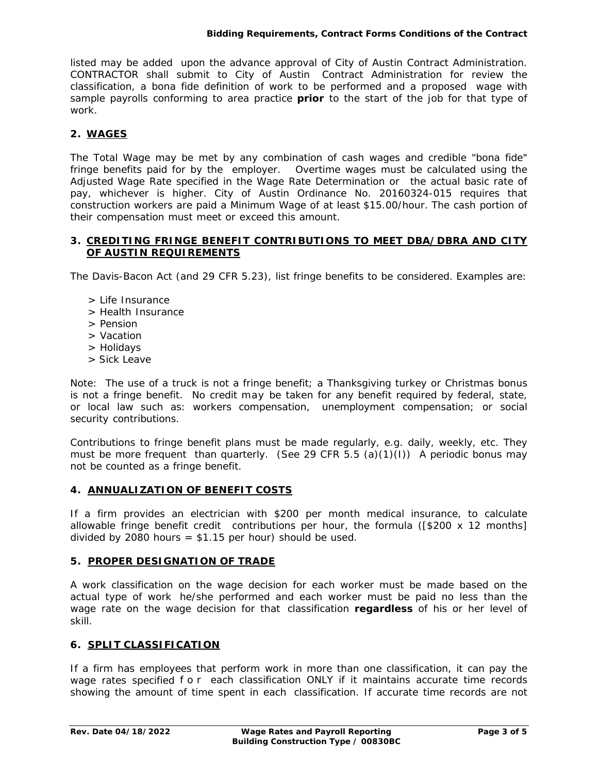listed may be added upon the advance approval of City of Austin Contract Administration. CONTRACTOR shall submit to City of Austin Contract Administration for review the classification, a bona fide definition of work to be performed and a proposed wage with sample payrolls conforming to area practice **prior** to the start of the job for that type of work.

# **2. WAGES**

The Total Wage may be met by any combination of cash wages and credible "bona fide" fringe benefits paid for by the employer. Overtime wages must be calculated using the Adjusted Wage Rate specified in the Wage Rate Determination or the actual basic rate of pay, whichever is higher. City of Austin Ordinance No. 20160324-015 requires that construction workers are paid a Minimum Wage of at least \$15.00/hour. The cash portion of their compensation must meet or exceed this amount.

#### **3. CREDITING FRINGE BENEFIT CONTRIBUTIONS TO MEET DBA/DBRA AND CITY OF AUSTIN REQUIREMENTS**

The Davis-Bacon Act (and 29 CFR 5.23), list fringe benefits to be considered. Examples are:

- > Life Insurance
- > Health Insurance
- > Pension
- > Vacation
- > Holidays
- > Sick Leave

Note: The use of a truck is not a fringe benefit; a Thanksgiving turkey or Christmas bonus is not a fringe benefit. No credit may be taken for any benefit required by federal, state, or local law such as: workers compensation, unemployment compensation; or social security contributions.

Contributions to fringe benefit plans must be made regularly, e.g. daily, weekly, etc. They must be more frequent than quarterly. (See 29 CFR 5.5 (a)(1)(I)) A periodic bonus may not be counted as a fringe benefit.

#### **4. ANNUALIZATION OF BENEFIT COSTS**

If a firm provides an electrician with \$200 per month medical insurance, to calculate allowable fringe benefit credit contributions per hour, the formula ([\$200 x 12 months] divided by 2080 hours =  $$1.15$  per hour) should be used.

## **5. PROPER DESIGNATION OF TRADE**

A work classification on the wage decision for each worker must be made based on the actual type of work he/she performed and each worker must be paid no less than the wage rate on the wage decision for that classification **regardless** of his or her level of skill.

## **6. SPLIT CLASSIFICATION**

If a firm has employees that perform work in more than one classification, it can pay the wage rates specified for each classification ONLY if it maintains accurate time records showing the amount of time spent in each classification. If accurate time records are not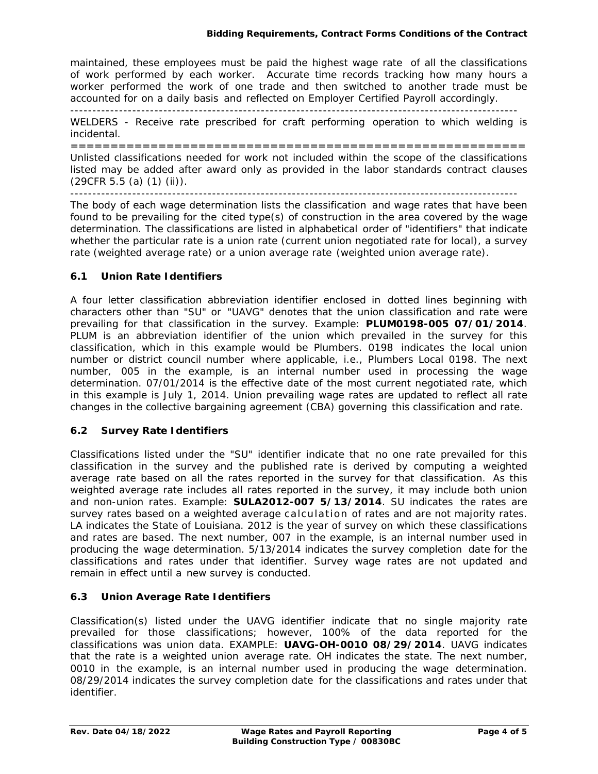maintained, these employees must be paid the highest wage rate of all the classifications of work performed by each worker. Accurate time records tracking how many hours a worker performed the work of one trade and then switched to another trade must be accounted for on a daily basis and reflected on Employer Certified Payroll accordingly. -----------------------------------------------------------------------------------------------------

WELDERS - Receive rate prescribed for craft performing operation to which welding is incidental.

========================================================= Unlisted classifications needed for work not included within the scope of the classifications listed may be added after award only as provided in the labor standards contract clauses (29CFR 5.5 (a) (1) (ii)).

-----------------------------------------------------------------------------------------------------

The body of each wage determination lists the classification and wage rates that have been found to be prevailing for the cited type(s) of construction in the area covered by the wage determination. The classifications are listed in alphabetical order of "identifiers" that indicate whether the particular rate is a union rate (current union negotiated rate for local), a survey rate (weighted average rate) or a union average rate (weighted union average rate).

## **6.1 Union Rate Identifiers**

A four letter classification abbreviation identifier enclosed in dotted lines beginning with characters other than "SU" or "UAVG" denotes that the union classification and rate were prevailing for that classification in the survey. Example: **PLUM0198-005 07/01/2014**. PLUM is an abbreviation identifier of the union which prevailed in the survey for this classification, which in this example would be Plumbers. 0198 indicates the local union number or district council number where applicable, i.e., Plumbers Local 0198. The next number, 005 in the example, is an internal number used in processing the wage determination. 07/01/2014 is the effective date of the most current negotiated rate, which in this example is July 1, 2014. Union prevailing wage rates are updated to reflect all rate changes in the collective bargaining agreement (CBA) governing this classification and rate.

## **6.2 Survey Rate Identifiers**

Classifications listed under the "SU" identifier indicate that no one rate prevailed for this classification in the survey and the published rate is derived by computing a weighted average rate based on all the rates reported in the survey for that classification. As this weighted average rate includes all rates reported in the survey, it may include both union and non-union rates. Example: **SULA2012-007 5/13/2014**. SU indicates the rates are survey rates based on a weighted average calculation of rates and are not majority rates. LA indicates the State of Louisiana. 2012 is the year of survey on which these classifications and rates are based. The next number, 007 in the example, is an internal number used in producing the wage determination. 5/13/2014 indicates the survey completion date for the classifications and rates under that identifier. Survey wage rates are not updated and remain in effect until a new survey is conducted.

# **6.3 Union Average Rate Identifiers**

Classification(s) listed under the UAVG identifier indicate that no single majority rate prevailed for those classifications; however, 100% of the data reported for the classifications was union data. EXAMPLE: **UAVG-OH-0010 08/29/2014**. UAVG indicates that the rate is a weighted union average rate. OH indicates the state. The next number, 0010 in the example, is an internal number used in producing the wage determination. 08/29/2014 indicates the survey completion date for the classifications and rates under that identifier.